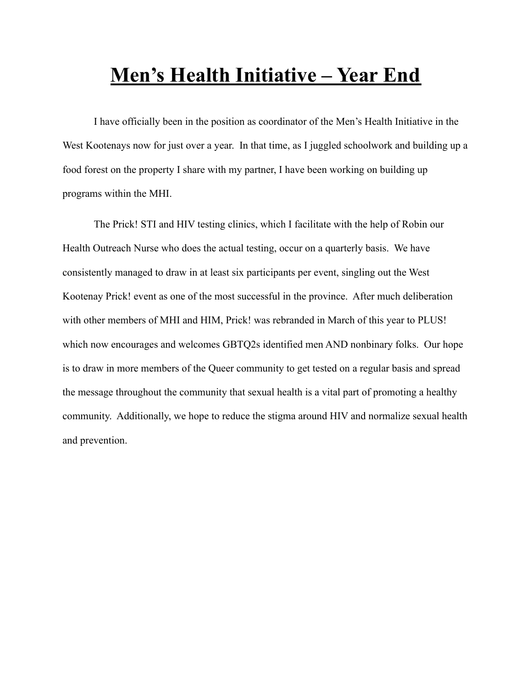## **Men's Health Initiative – Year End**

I have officially been in the position as coordinator of the Men's Health Initiative in the West Kootenays now for just over a year. In that time, as I juggled schoolwork and building up a food forest on the property I share with my partner, I have been working on building up programs within the MHI.

The Prick! STI and HIV testing clinics, which I facilitate with the help of Robin our Health Outreach Nurse who does the actual testing, occur on a quarterly basis. We have consistently managed to draw in at least six participants per event, singling out the West Kootenay Prick! event as one of the most successful in the province. After much deliberation with other members of MHI and HIM, Prick! was rebranded in March of this year to PLUS! which now encourages and welcomes GBTQ2s identified men AND nonbinary folks. Our hope is to draw in more members of the Queer community to get tested on a regular basis and spread the message throughout the community that sexual health is a vital part of promoting a healthy community. Additionally, we hope to reduce the stigma around HIV and normalize sexual health and prevention.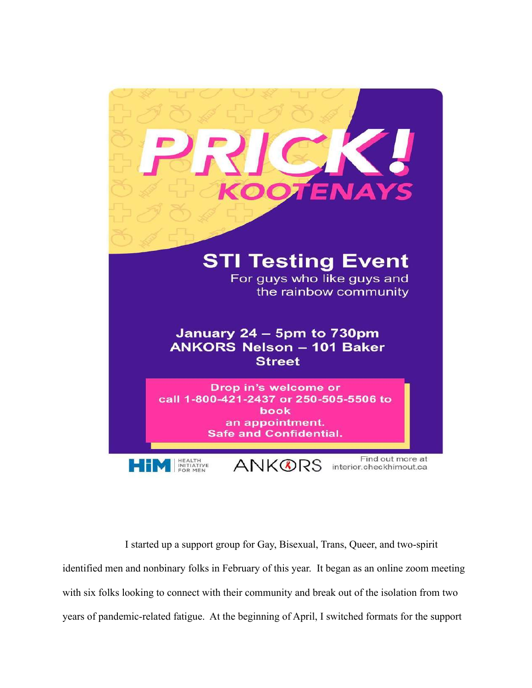

I started up a support group for Gay, Bisexual, Trans, Queer, and two-spirit identified men and nonbinary folks in February of this year. It began as an online zoom meeting with six folks looking to connect with their community and break out of the isolation from two years of pandemic-related fatigue. At the beginning of April, I switched formats for the support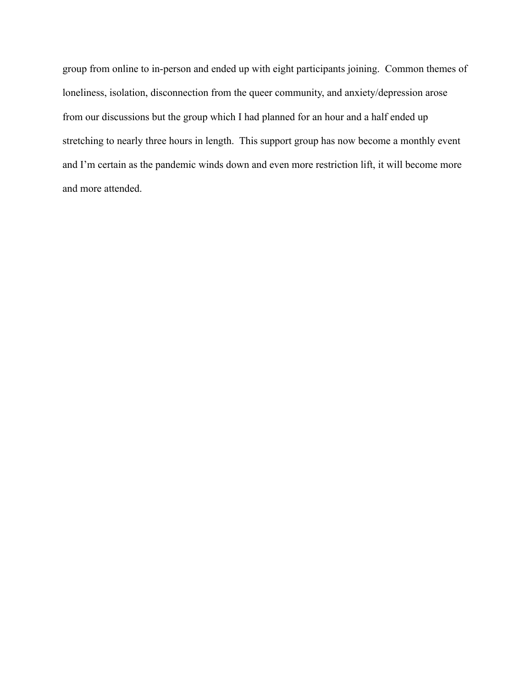group from online to in-person and ended up with eight participants joining. Common themes of loneliness, isolation, disconnection from the queer community, and anxiety/depression arose from our discussions but the group which I had planned for an hour and a half ended up stretching to nearly three hours in length. This support group has now become a monthly event and I'm certain as the pandemic winds down and even more restriction lift, it will become more and more attended.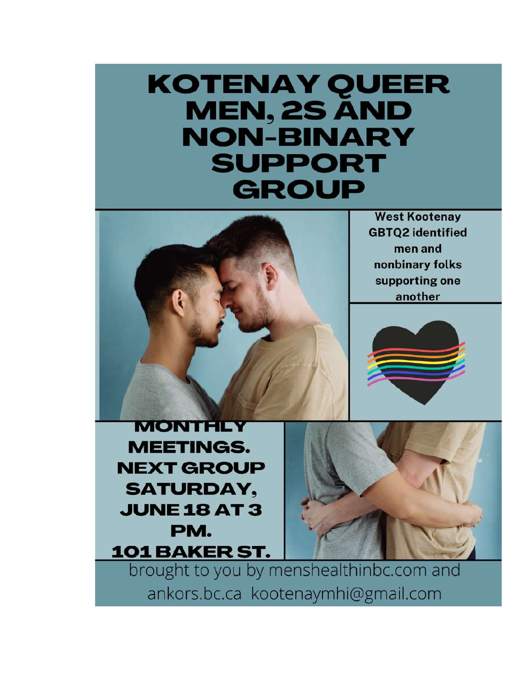## **KOTENAY QUEER MEN, 2S AND NON-BINARY SUPPORT GROUP**



brought to you by menshealthinbc.com and ankors.bc.ca kootenaymhi@gmail.com